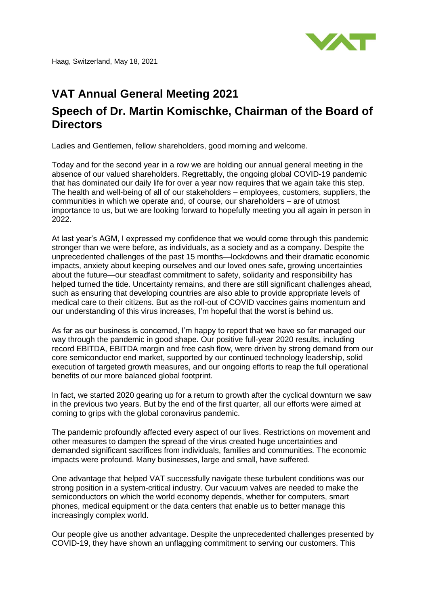

## **VAT Annual General Meeting 2021 Speech of Dr. Martin Komischke, Chairman of the Board of Directors**

Ladies and Gentlemen, fellow shareholders, good morning and welcome.

Today and for the second year in a row we are holding our annual general meeting in the absence of our valued shareholders. Regrettably, the ongoing global COVID-19 pandemic that has dominated our daily life for over a year now requires that we again take this step. The health and well-being of all of our stakeholders – employees, customers, suppliers, the communities in which we operate and, of course, our shareholders – are of utmost importance to us, but we are looking forward to hopefully meeting you all again in person in 2022.

At last year's AGM, I expressed my confidence that we would come through this pandemic stronger than we were before, as individuals, as a society and as a company. Despite the unprecedented challenges of the past 15 months—lockdowns and their dramatic economic impacts, anxiety about keeping ourselves and our loved ones safe, growing uncertainties about the future—our steadfast commitment to safety, solidarity and responsibility has helped turned the tide. Uncertainty remains, and there are still significant challenges ahead, such as ensuring that developing countries are also able to provide appropriate levels of medical care to their citizens. But as the roll-out of COVID vaccines gains momentum and our understanding of this virus increases, I'm hopeful that the worst is behind us.

As far as our business is concerned, I'm happy to report that we have so far managed our way through the pandemic in good shape. Our positive full-year 2020 results, including record EBITDA, EBITDA margin and free cash flow, were driven by strong demand from our core semiconductor end market, supported by our continued technology leadership, solid execution of targeted growth measures, and our ongoing efforts to reap the full operational benefits of our more balanced global footprint.

In fact, we started 2020 gearing up for a return to growth after the cyclical downturn we saw in the previous two years. But by the end of the first quarter, all our efforts were aimed at coming to grips with the global coronavirus pandemic.

The pandemic profoundly affected every aspect of our lives. Restrictions on movement and other measures to dampen the spread of the virus created huge uncertainties and demanded significant sacrifices from individuals, families and communities. The economic impacts were profound. Many businesses, large and small, have suffered.

One advantage that helped VAT successfully navigate these turbulent conditions was our strong position in a system-critical industry. Our vacuum valves are needed to make the semiconductors on which the world economy depends, whether for computers, smart phones, medical equipment or the data centers that enable us to better manage this increasingly complex world.

Our people give us another advantage. Despite the unprecedented challenges presented by COVID-19, they have shown an unflagging commitment to serving our customers. This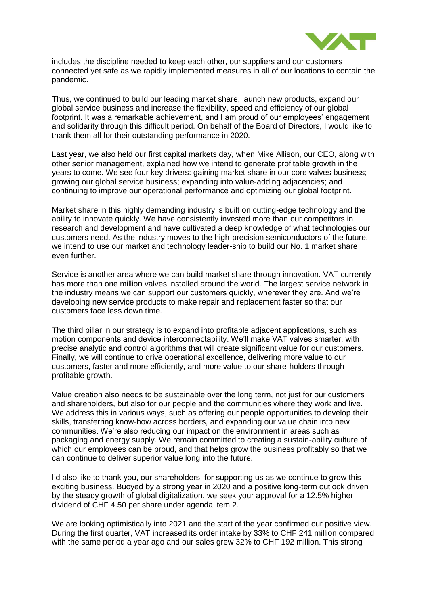

includes the discipline needed to keep each other, our suppliers and our customers connected yet safe as we rapidly implemented measures in all of our locations to contain the pandemic.

Thus, we continued to build our leading market share, launch new products, expand our global service business and increase the flexibility, speed and efficiency of our global footprint. It was a remarkable achievement, and I am proud of our employees' engagement and solidarity through this difficult period. On behalf of the Board of Directors, I would like to thank them all for their outstanding performance in 2020.

Last year, we also held our first capital markets day, when Mike Allison, our CEO, along with other senior management, explained how we intend to generate profitable growth in the years to come. We see four key drivers: gaining market share in our core valves business; growing our global service business; expanding into value-adding adjacencies; and continuing to improve our operational performance and optimizing our global footprint.

Market share in this highly demanding industry is built on cutting-edge technology and the ability to innovate quickly. We have consistently invested more than our competitors in research and development and have cultivated a deep knowledge of what technologies our customers need. As the industry moves to the high-precision semiconductors of the future, we intend to use our market and technology leader-ship to build our No. 1 market share even further.

Service is another area where we can build market share through innovation. VAT currently has more than one million valves installed around the world. The largest service network in the industry means we can support our customers quickly, wherever they are. And we're developing new service products to make repair and replacement faster so that our customers face less down time.

The third pillar in our strategy is to expand into profitable adjacent applications, such as motion components and device interconnectability. We'll make VAT valves smarter, with precise analytic and control algorithms that will create significant value for our customers. Finally, we will continue to drive operational excellence, delivering more value to our customers, faster and more efficiently, and more value to our share-holders through profitable growth.

Value creation also needs to be sustainable over the long term, not just for our customers and shareholders, but also for our people and the communities where they work and live. We address this in various ways, such as offering our people opportunities to develop their skills, transferring know-how across borders, and expanding our value chain into new communities. We're also reducing our impact on the environment in areas such as packaging and energy supply. We remain committed to creating a sustain-ability culture of which our employees can be proud, and that helps grow the business profitably so that we can continue to deliver superior value long into the future.

I'd also like to thank you, our shareholders, for supporting us as we continue to grow this exciting business. Buoyed by a strong year in 2020 and a positive long-term outlook driven by the steady growth of global digitalization, we seek your approval for a 12.5% higher dividend of CHF 4.50 per share under agenda item 2.

We are looking optimistically into 2021 and the start of the year confirmed our positive view. During the first quarter, VAT increased its order intake by 33% to CHF 241 million compared with the same period a year ago and our sales grew 32% to CHF 192 million. This strong